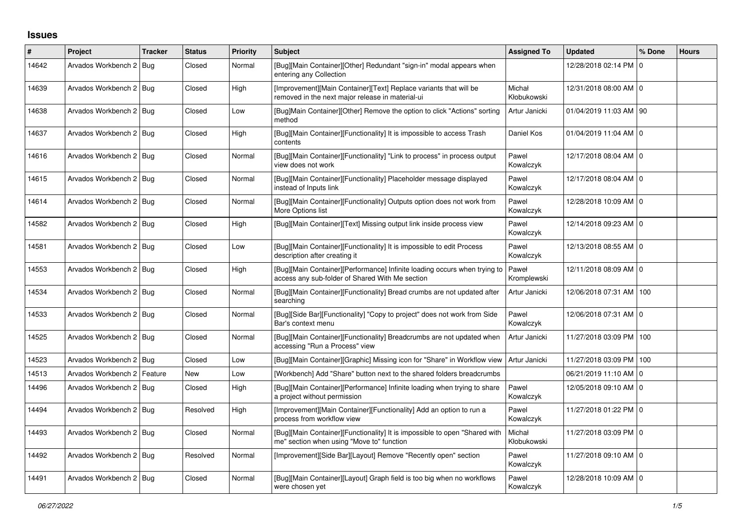## **Issues**

| ∦     | Project                       | <b>Tracker</b> | <b>Status</b> | Priority | <b>Subject</b>                                                                                                               | <b>Assigned To</b>    | <b>Updated</b>           | % Done | <b>Hours</b> |
|-------|-------------------------------|----------------|---------------|----------|------------------------------------------------------------------------------------------------------------------------------|-----------------------|--------------------------|--------|--------------|
| 14642 | Arvados Workbench 2 Bug       |                | Closed        | Normal   | [Bug][Main Container][Other] Redundant "sign-in" modal appears when<br>entering any Collection                               |                       | 12/28/2018 02:14 PM 0    |        |              |
| 14639 | Arvados Workbench 2   Bug     |                | Closed        | High     | [Improvement][Main Container][Text] Replace variants that will be<br>removed in the next major release in material-ui        | Michał<br>Kłobukowski | 12/31/2018 08:00 AM   0  |        |              |
| 14638 | Arvados Workbench 2 Bug       |                | Closed        | Low      | [Bug]Main Container][Other] Remove the option to click "Actions" sorting<br>method                                           | Artur Janicki         | 01/04/2019 11:03 AM   90 |        |              |
| 14637 | Arvados Workbench 2   Bug     |                | Closed        | High     | [Bug][Main Container][Functionality] It is impossible to access Trash<br>contents                                            | Daniel Kos            | 01/04/2019 11:04 AM 0    |        |              |
| 14616 | Arvados Workbench 2   Bug     |                | Closed        | Normal   | [Bug][Main Container][Functionality] "Link to process" in process output<br>view does not work                               | Pawel<br>Kowalczyk    | 12/17/2018 08:04 AM   0  |        |              |
| 14615 | Arvados Workbench 2   Bug     |                | Closed        | Normal   | [Bug][Main Container][Functionality] Placeholder message displayed<br>instead of Inputs link                                 | Pawel<br>Kowalczyk    | 12/17/2018 08:04 AM 0    |        |              |
| 14614 | Arvados Workbench 2   Bug     |                | Closed        | Normal   | [Bug][Main Container][Functionality] Outputs option does not work from<br>More Options list                                  | Pawel<br>Kowalczyk    | 12/28/2018 10:09 AM   0  |        |              |
| 14582 | Arvados Workbench 2   Bug     |                | Closed        | High     | [Bug][Main Container][Text] Missing output link inside process view                                                          | Pawel<br>Kowalczyk    | 12/14/2018 09:23 AM   0  |        |              |
| 14581 | Arvados Workbench 2   Bug     |                | Closed        | Low      | [Bug][Main Container][Functionality] It is impossible to edit Process<br>description after creating it                       | Pawel<br>Kowalczyk    | 12/13/2018 08:55 AM 0    |        |              |
| 14553 | Arvados Workbench 2   Bug     |                | Closed        | High     | [Bug][Main Container][Performance] Infinite loading occurs when trying to<br>access any sub-folder of Shared With Me section | Paweł<br>Kromplewski  | 12/11/2018 08:09 AM   0  |        |              |
| 14534 | Arvados Workbench 2   Bug     |                | Closed        | Normal   | [Bug][Main Container][Functionality] Bread crumbs are not updated after<br>searching                                         | Artur Janicki         | 12/06/2018 07:31 AM      | 100    |              |
| 14533 | Arvados Workbench 2   Bug     |                | Closed        | Normal   | [Bug][Side Bar][Functionality] "Copy to project" does not work from Side<br>Bar's context menu                               | Pawel<br>Kowalczyk    | 12/06/2018 07:31 AM   0  |        |              |
| 14525 | Arvados Workbench 2   Bug     |                | Closed        | Normal   | [Bug][Main Container][Functionality] Breadcrumbs are not updated when<br>accessing "Run a Process" view                      | Artur Janicki         | 11/27/2018 03:09 PM      | 100    |              |
| 14523 | Arvados Workbench 2   Bug     |                | Closed        | Low      | [Bug][Main Container][Graphic] Missing icon for "Share" in Workflow view                                                     | Artur Janicki         | 11/27/2018 03:09 PM      | 100    |              |
| 14513 | Arvados Workbench 2   Feature |                | New           | Low      | [Workbench] Add "Share" button next to the shared folders breadcrumbs                                                        |                       | 06/21/2019 11:10 AM   0  |        |              |
| 14496 | Arvados Workbench 2   Bug     |                | Closed        | High     | [Bug][Main Container][Performance] Infinite loading when trying to share<br>a project without permission                     | Pawel<br>Kowalczyk    | 12/05/2018 09:10 AM   0  |        |              |
| 14494 | Arvados Workbench 2   Bug     |                | Resolved      | High     | [Improvement][Main Container][Functionality] Add an option to run a<br>process from workflow view                            | Pawel<br>Kowalczyk    | 11/27/2018 01:22 PM 0    |        |              |
| 14493 | Arvados Workbench 2   Bug     |                | Closed        | Normal   | [Bug][Main Container][Functionality] It is impossible to open "Shared with<br>me" section when using "Move to" function      | Michał<br>Kłobukowski | 11/27/2018 03:09 PM 0    |        |              |
| 14492 | Arvados Workbench 2   Bug     |                | Resolved      | Normal   | [Improvement][Side Bar][Layout] Remove "Recently open" section                                                               | Pawel<br>Kowalczyk    | 11/27/2018 09:10 AM 0    |        |              |
| 14491 | Arvados Workbench 2   Bug     |                | Closed        | Normal   | [Bug][Main Container][Layout] Graph field is too big when no workflows<br>were chosen yet                                    | Pawel<br>Kowalczyk    | 12/28/2018 10:09 AM   0  |        |              |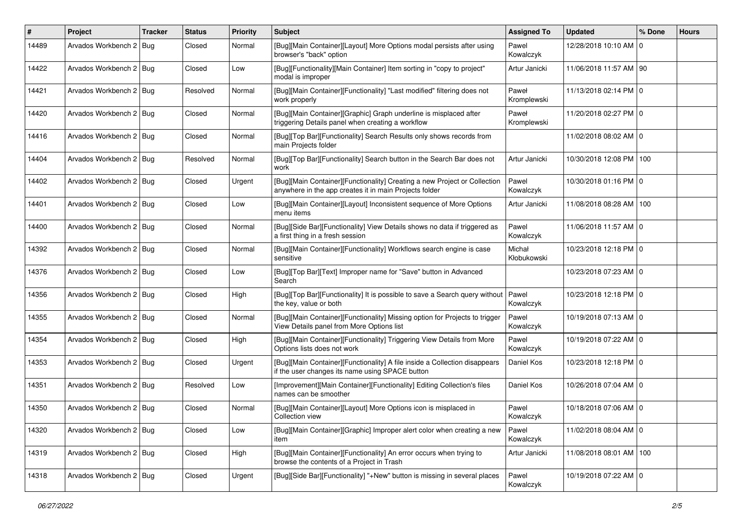| #     | Project                   | <b>Tracker</b> | <b>Status</b> | <b>Priority</b> | <b>Subject</b>                                                                                                                      | <b>Assigned To</b>    | <b>Updated</b>            | % Done | <b>Hours</b> |
|-------|---------------------------|----------------|---------------|-----------------|-------------------------------------------------------------------------------------------------------------------------------------|-----------------------|---------------------------|--------|--------------|
| 14489 | Arvados Workbench 2   Bug |                | Closed        | Normal          | [Bug][Main Container][Layout] More Options modal persists after using<br>browser's "back" option                                    | Pawel<br>Kowalczyk    | 12/28/2018 10:10 AM 0     |        |              |
| 14422 | Arvados Workbench 2   Bug |                | Closed        | Low             | [Bug][Functionality][Main Container] Item sorting in "copy to project"<br>modal is improper                                         | Artur Janicki         | 11/06/2018 11:57 AM   90  |        |              |
| 14421 | Arvados Workbench 2   Bug |                | Resolved      | Normal          | [Bug][Main Container][Functionality] "Last modified" filtering does not<br>work properly                                            | Paweł<br>Kromplewski  | 11/13/2018 02:14 PM 0     |        |              |
| 14420 | Arvados Workbench 2   Bug |                | Closed        | Normal          | [Bug][Main Container][Graphic] Graph underline is misplaced after<br>triggering Details panel when creating a workflow              | Paweł<br>Kromplewski  | 11/20/2018 02:27 PM 0     |        |              |
| 14416 | Arvados Workbench 2   Bug |                | Closed        | Normal          | [Bug][Top Bar][Functionality] Search Results only shows records from<br>main Projects folder                                        |                       | 11/02/2018 08:02 AM 0     |        |              |
| 14404 | Arvados Workbench 2   Bug |                | Resolved      | Normal          | [Bug][Top Bar][Functionality] Search button in the Search Bar does not<br>work                                                      | Artur Janicki         | 10/30/2018 12:08 PM 100   |        |              |
| 14402 | Arvados Workbench 2   Bug |                | Closed        | Urgent          | [Bug][Main Container][Functionality] Creating a new Project or Collection<br>anywhere in the app creates it in main Projects folder | Pawel<br>Kowalczyk    | 10/30/2018 01:16 PM 0     |        |              |
| 14401 | Arvados Workbench 2   Bug |                | Closed        | Low             | [Bug][Main Container][Layout] Inconsistent sequence of More Options<br>menu items                                                   | Artur Janicki         | 11/08/2018 08:28 AM   100 |        |              |
| 14400 | Arvados Workbench 2   Bug |                | Closed        | Normal          | [Bug][Side Bar][Functionality] View Details shows no data if triggered as<br>a first thing in a fresh session                       | Pawel<br>Kowalczyk    | 11/06/2018 11:57 AM   0   |        |              |
| 14392 | Arvados Workbench 2   Bug |                | Closed        | Normal          | [Bug][Main Container][Functionality] Workflows search engine is case<br>sensitive                                                   | Michał<br>Kłobukowski | 10/23/2018 12:18 PM 0     |        |              |
| 14376 | Arvados Workbench 2   Bug |                | Closed        | Low             | [Bug][Top Bar][Text] Improper name for "Save" button in Advanced<br>Search                                                          |                       | 10/23/2018 07:23 AM 0     |        |              |
| 14356 | Arvados Workbench 2   Bug |                | Closed        | High            | [Bug][Top Bar][Functionality] It is possible to save a Search query without   Pawel<br>the key, value or both                       | Kowalczyk             | 10/23/2018 12:18 PM   0   |        |              |
| 14355 | Arvados Workbench 2   Bug |                | Closed        | Normal          | [Bug][Main Container][Functionality] Missing option for Projects to trigger<br>View Details panel from More Options list            | Pawel<br>Kowalczyk    | 10/19/2018 07:13 AM   0   |        |              |
| 14354 | Arvados Workbench 2   Bug |                | Closed        | High            | [Bug][Main Container][Functionality] Triggering View Details from More<br>Options lists does not work                               | Pawel<br>Kowalczyk    | 10/19/2018 07:22 AM 0     |        |              |
| 14353 | Arvados Workbench 2   Bug |                | Closed        | Urgent          | [Bug][Main Container][Functionality] A file inside a Collection disappears<br>if the user changes its name using SPACE button       | Daniel Kos            | 10/23/2018 12:18 PM 0     |        |              |
| 14351 | Arvados Workbench 2   Bug |                | Resolved      | Low             | [Improvement][Main Container][Functionality] Editing Collection's files<br>names can be smoother                                    | Daniel Kos            | 10/26/2018 07:04 AM I 0   |        |              |
| 14350 | Arvados Workbench 2   Bug |                | Closed        | Normal          | [Bug][Main Container][Layout] More Options icon is misplaced in<br>Collection view                                                  | Pawel<br>Kowalczyk    | 10/18/2018 07:06 AM 0     |        |              |
| 14320 | Arvados Workbench 2 Bug   |                | Closed        | Low             | [Bug][Main Container][Graphic] Improper alert color when creating a new<br>item                                                     | Pawel<br>Kowalczyk    | 11/02/2018 08:04 AM 0     |        |              |
| 14319 | Arvados Workbench 2 Bug   |                | Closed        | High            | [Bug][Main Container][Functionality] An error occurs when trying to<br>browse the contents of a Project in Trash                    | Artur Janicki         | 11/08/2018 08:01 AM   100 |        |              |
| 14318 | Arvados Workbench 2   Bug |                | Closed        | Urgent          | [Bug][Side Bar][Functionality] "+New" button is missing in several places                                                           | Pawel<br>Kowalczyk    | 10/19/2018 07:22 AM   0   |        |              |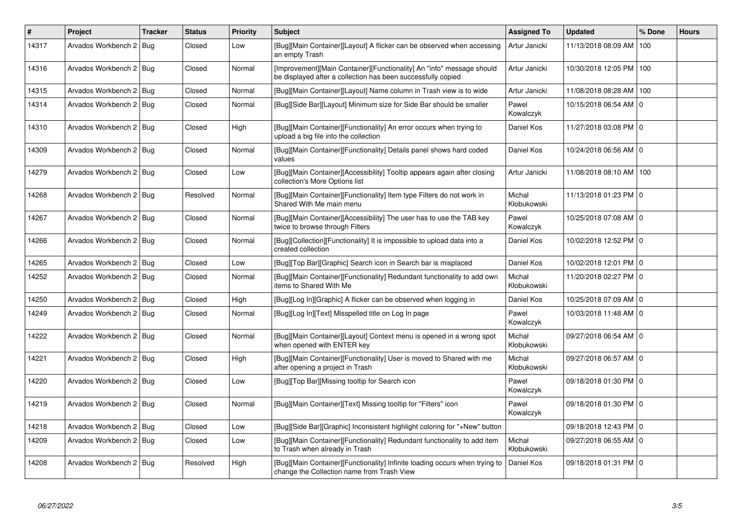| $\#$  | Project                   | <b>Tracker</b> | <b>Status</b> | <b>Priority</b> | <b>Subject</b>                                                                                                                        | <b>Assigned To</b>    | <b>Updated</b>          | % Done | <b>Hours</b> |
|-------|---------------------------|----------------|---------------|-----------------|---------------------------------------------------------------------------------------------------------------------------------------|-----------------------|-------------------------|--------|--------------|
| 14317 | Arvados Workbench 2       | <b>Bug</b>     | Closed        | Low             | [Bug][Main Container][Layout] A flicker can be observed when accessing<br>an empty Trash                                              | Artur Janicki         | 11/13/2018 08:09 AM     | 100    |              |
| 14316 | Arvados Workbench 2   Bug |                | Closed        | Normal          | [Improvement][Main Container][Functionality] An "info" message should<br>be displayed after a collection has been successfully copied | Artur Janicki         | 10/30/2018 12:05 PM     | 100    |              |
| 14315 | Arvados Workbench 2   Bug |                | Closed        | Normal          | [Bug][Main Container][Layout] Name column in Trash view is to wide                                                                    | Artur Janicki         | 11/08/2018 08:28 AM     | 100    |              |
| 14314 | Arvados Workbench 2   Bug |                | Closed        | Normal          | [Bug][Side Bar][Layout] Minimum size for Side Bar should be smaller                                                                   | Pawel<br>Kowalczyk    | 10/15/2018 06:54 AM   0 |        |              |
| 14310 | Arvados Workbench 2   Bug |                | Closed        | High            | [Bug][Main Container][Functionality] An error occurs when trying to<br>upload a big file into the collection                          | Daniel Kos            | 11/27/2018 03:08 PM 0   |        |              |
| 14309 | Arvados Workbench 2   Bug |                | Closed        | Normal          | [Bug][Main Container][Functionality] Details panel shows hard coded<br>values                                                         | Daniel Kos            | 10/24/2018 06:56 AM 0   |        |              |
| 14279 | Arvados Workbench 2   Bug |                | Closed        | Low             | [Bug][Main Container][Accessibility] Tooltip appears again after closing<br>collection's More Options list                            | Artur Janicki         | 11/08/2018 08:10 AM     | 100    |              |
| 14268 | Arvados Workbench 2   Bug |                | Resolved      | Normal          | [Bug][Main Container][Functionality] Item type Filters do not work in<br>Shared With Me main menu                                     | Michał<br>Kłobukowski | 11/13/2018 01:23 PM 0   |        |              |
| 14267 | Arvados Workbench 2   Bug |                | Closed        | Normal          | [Bug][Main Container][Accessibility] The user has to use the TAB key<br>twice to browse through Filters                               | Pawel<br>Kowalczyk    | 10/25/2018 07:08 AM   0 |        |              |
| 14266 | Arvados Workbench 2   Bug |                | Closed        | Normal          | [Bug][Collection][Functionality] It is impossible to upload data into a<br>created collection                                         | Daniel Kos            | 10/02/2018 12:52 PM   0 |        |              |
| 14265 | Arvados Workbench 2   Bug |                | Closed        | Low             | [Bug][Top Bar][Graphic] Search icon in Search bar is misplaced                                                                        | Daniel Kos            | 10/02/2018 12:01 PM 0   |        |              |
| 14252 | Arvados Workbench 2   Bug |                | Closed        | Normal          | [Bug][Main Container][Functionality] Redundant functionality to add own<br>items to Shared With Me                                    | Michał<br>Kłobukowski | 11/20/2018 02:27 PM 0   |        |              |
| 14250 | Arvados Workbench 2   Bug |                | Closed        | High            | [Bug][Log In][Graphic] A flicker can be observed when logging in                                                                      | Daniel Kos            | 10/25/2018 07:09 AM   0 |        |              |
| 14249 | Arvados Workbench 2   Bug |                | Closed        | Normal          | [Bug][Log In][Text] Misspelled title on Log In page                                                                                   | Pawel<br>Kowalczyk    | 10/03/2018 11:48 AM   0 |        |              |
| 14222 | Arvados Workbench 2   Bug |                | Closed        | Normal          | [Bug][Main Container][Layout] Context menu is opened in a wrong spot<br>when opened with ENTER key                                    | Michał<br>Kłobukowski | 09/27/2018 06:54 AM   0 |        |              |
| 14221 | Arvados Workbench 2   Bug |                | Closed        | High            | [Bug][Main Container][Functionality] User is moved to Shared with me<br>after opening a project in Trash                              | Michał<br>Kłobukowski | 09/27/2018 06:57 AM O   |        |              |
| 14220 | Arvados Workbench 2   Bug |                | Closed        | Low             | [Bug][Top Bar][Missing tooltip for Search icon                                                                                        | Pawel<br>Kowalczyk    | 09/18/2018 01:30 PM O   |        |              |
| 14219 | Arvados Workbench 2   Bug |                | Closed        | Normal          | [Bug][Main Container][Text] Missing tooltip for "Filters" icon                                                                        | Pawel<br>Kowalczyk    | 09/18/2018 01:30 PM 0   |        |              |
| 14218 | Arvados Workbench 2   Bug |                | Closed        | Low             | [Bug][Side Bar][Graphic] Inconsistent highlight coloring for "+New" button                                                            |                       | 09/18/2018 12:43 PM O   |        |              |
| 14209 | Arvados Workbench 2   Bug |                | Closed        | Low             | [Bug][Main Container][Functionality] Redundant functionality to add item<br>to Trash when already in Trash                            | Michał<br>Kłobukowski | 09/27/2018 06:55 AM   0 |        |              |
| 14208 | Arvados Workbench 2   Bug |                | Resolved      | High            | [Bug][Main Container][Functionality] Infinite loading occurs when trying to<br>change the Collection name from Trash View             | Daniel Kos            | 09/18/2018 01:31 PM   0 |        |              |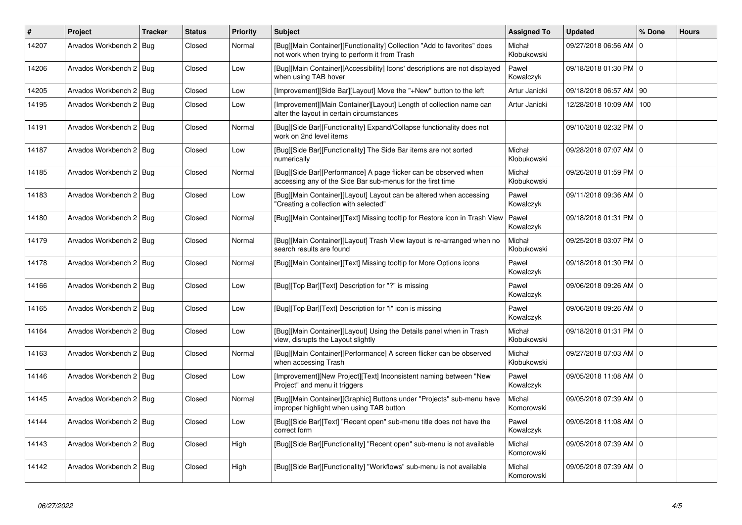| #     | Project                   | <b>Tracker</b> | <b>Status</b> | <b>Priority</b> | <b>Subject</b>                                                                                                                 | <b>Assigned To</b>    | <b>Updated</b>           | % Done      | <b>Hours</b> |
|-------|---------------------------|----------------|---------------|-----------------|--------------------------------------------------------------------------------------------------------------------------------|-----------------------|--------------------------|-------------|--------------|
| 14207 | Arvados Workbench 2   Bug |                | Closed        | Normal          | [Bug][Main Container][Functionality] Collection "Add to favorites" does<br>not work when trying to perform it from Trash       | Michał<br>Kłobukowski | 09/27/2018 06:56 AM      | $\mathbf 0$ |              |
| 14206 | Arvados Workbench 2   Bug |                | Closed        | Low             | [Bug][Main Container][Accessibility] Icons' descriptions are not displayed<br>when using TAB hover                             | Pawel<br>Kowalczyk    | 09/18/2018 01:30 PM 0    |             |              |
| 14205 | Arvados Workbench 2   Bug |                | Closed        | Low             | [Improvement][Side Bar][Layout] Move the "+New" button to the left                                                             | Artur Janicki         | 09/18/2018 06:57 AM   90 |             |              |
| 14195 | Arvados Workbench 2   Bug |                | Closed        | Low             | [Improvement][Main Container][Layout] Length of collection name can<br>alter the layout in certain circumstances               | Artur Janicki         | 12/28/2018 10:09 AM      | 100         |              |
| 14191 | Arvados Workbench 2   Bug |                | Closed        | Normal          | [Bug][Side Bar][Functionality] Expand/Collapse functionality does not<br>work on 2nd level items                               |                       | 09/10/2018 02:32 PM 0    |             |              |
| 14187 | Arvados Workbench 2   Bug |                | Closed        | Low             | [Bug][Side Bar][Functionality] The Side Bar items are not sorted<br>numerically                                                | Michał<br>Kłobukowski | 09/28/2018 07:07 AM 0    |             |              |
| 14185 | Arvados Workbench 2   Bug |                | Closed        | Normal          | [Bug][Side Bar][Performance] A page flicker can be observed when<br>accessing any of the Side Bar sub-menus for the first time | Michał<br>Kłobukowski | 09/26/2018 01:59 PM   0  |             |              |
| 14183 | Arvados Workbench 2   Bug |                | Closed        | Low             | [Bug][Main Container][Layout] Layout can be altered when accessing<br>"Creating a collection with selected"                    | Pawel<br>Kowalczyk    | 09/11/2018 09:36 AM 0    |             |              |
| 14180 | Arvados Workbench 2   Bug |                | Closed        | Normal          | [Bug][Main Container][Text] Missing tooltip for Restore icon in Trash View                                                     | Pawel<br>Kowalczyk    | 09/18/2018 01:31 PM 0    |             |              |
| 14179 | Arvados Workbench 2   Bug |                | Closed        | Normal          | [Bug][Main Container][Layout] Trash View layout is re-arranged when no<br>search results are found                             | Michał<br>Kłobukowski | 09/25/2018 03:07 PM 0    |             |              |
| 14178 | Arvados Workbench 2   Bug |                | Closed        | Normal          | [Bug][Main Container][Text] Missing tooltip for More Options icons                                                             | Pawel<br>Kowalczyk    | 09/18/2018 01:30 PM 0    |             |              |
| 14166 | Arvados Workbench 2   Bug |                | Closed        | Low             | [Bug][Top Bar][Text] Description for "?" is missing                                                                            | Pawel<br>Kowalczyk    | 09/06/2018 09:26 AM 0    |             |              |
| 14165 | Arvados Workbench 2   Bug |                | Closed        | Low             | [Bug][Top Bar][Text] Description for "i" icon is missing                                                                       | Pawel<br>Kowalczyk    | 09/06/2018 09:26 AM 0    |             |              |
| 14164 | Arvados Workbench 2   Bug |                | Closed        | Low             | [Bug][Main Container][Layout] Using the Details panel when in Trash<br>view, disrupts the Layout slightly                      | Michał<br>Kłobukowski | 09/18/2018 01:31 PM 0    |             |              |
| 14163 | Arvados Workbench 2   Bug |                | Closed        | Normal          | [Bug][Main Container][Performance] A screen flicker can be observed<br>when accessing Trash                                    | Michał<br>Kłobukowski | 09/27/2018 07:03 AM   0  |             |              |
| 14146 | Arvados Workbench 2   Bug |                | Closed        | Low             | [Improvement][New Project][Text] Inconsistent naming between "New<br>Project" and menu it triggers                             | Pawel<br>Kowalczyk    | 09/05/2018 11:08 AM 0    |             |              |
| 14145 | Arvados Workbench 2   Bug |                | Closed        | Normal          | [Bug][Main Container][Graphic] Buttons under "Projects" sub-menu have<br>improper highlight when using TAB button              | Michal<br>Komorowski  | 09/05/2018 07:39 AM   0  |             |              |
| 14144 | Arvados Workbench 2   Bug |                | Closed        | Low             | [Bug][Side Bar][Text] "Recent open" sub-menu title does not have the<br>correct form                                           | Pawel<br>Kowalczyk    | 09/05/2018 11:08 AM 0    |             |              |
| 14143 | Arvados Workbench 2   Bug |                | Closed        | High            | [Bug][Side Bar][Functionality] "Recent open" sub-menu is not available                                                         | Michal<br>Komorowski  | 09/05/2018 07:39 AM 0    |             |              |
| 14142 | Arvados Workbench 2   Bug |                | Closed        | High            | [Bug][Side Bar][Functionality] "Workflows" sub-menu is not available                                                           | Michal<br>Komorowski  | 09/05/2018 07:39 AM   0  |             |              |